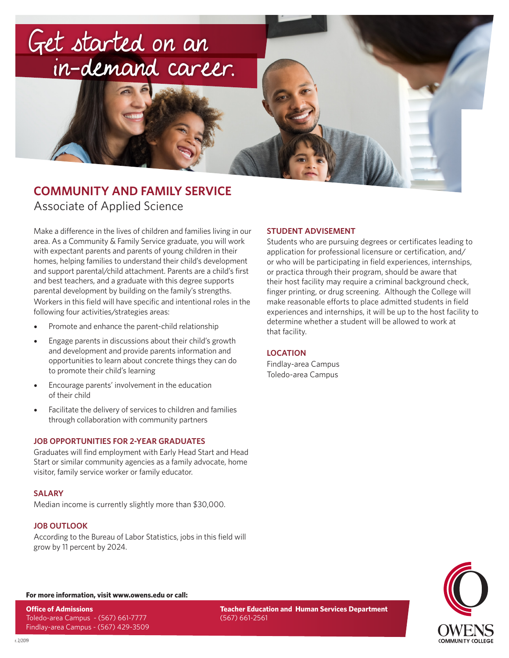

## **COMMUNITY AND FAMILY SERVICE** Associate of Applied Science

Make a difference in the lives of children and families living in our area. As a Community & Family Service graduate, you will work with expectant parents and parents of young children in their homes, helping families to understand their child's development and support parental/child attachment. Parents are a child's first and best teachers, and a graduate with this degree supports parental development by building on the family's strengths. Workers in this field will have specific and intentional roles in the following four activities/strategies areas:

- Promote and enhance the parent-child relationship
- Engage parents in discussions about their child's growth and development and provide parents information and opportunities to learn about concrete things they can do to promote their child's learning
- Encourage parents' involvement in the education of their child
- Facilitate the delivery of services to children and families through collaboration with community partners

## **JOB OPPORTUNITIES FOR 2-YEAR GRADUATES**

Graduates will find employment with Early Head Start and Head Start or similar community agencies as a family advocate, home visitor, family service worker or family educator.

## **SALARY**

Median income is currently slightly more than \$30,000.

## **JOB OUTLOOK**

According to the Bureau of Labor Statistics, jobs in this field will grow by 11 percent by 2024.

## **STUDENT ADVISEMENT**

Students who are pursuing degrees or certificates leading to application for professional licensure or certification, and/ or who will be participating in field experiences, internships, or practica through their program, should be aware that their host facility may require a criminal background check, finger printing, or drug screening. Although the College will make reasonable efforts to place admitted students in field experiences and internships, it will be up to the host facility to determine whether a student will be allowed to work at that facility.

## **LOCATION**

Findlay-area Campus Toledo-area Campus



#### **For more information, visit www.owens.edu or call:**

**Office of Admissions** Toledo-area Campus - (567) 661-7777 Findlay-area Campus - (567) 429-3509 **Teacher Education and Human Services Department** (567) 661-2561